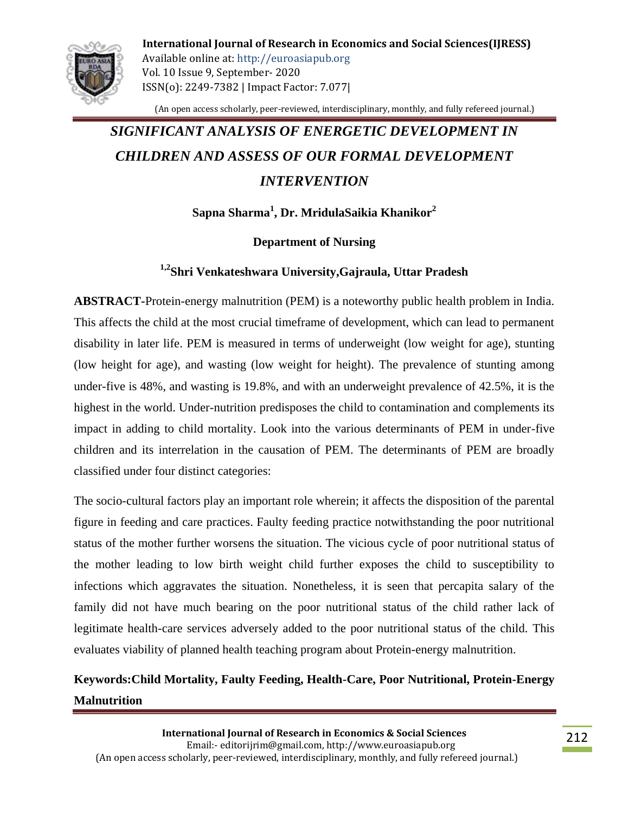

(An open access scholarly, peer-reviewed, interdisciplinary, monthly, and fully refereed journal.)

# *SIGNIFICANT ANALYSIS OF ENERGETIC DEVELOPMENT IN CHILDREN AND ASSESS OF OUR FORMAL DEVELOPMENT INTERVENTION*

**Sapna Sharma<sup>1</sup> , Dr. MridulaSaikia Khanikor<sup>2</sup>**

#### **Department of Nursing**

### **1,2Shri Venkateshwara University,Gajraula, Uttar Pradesh**

**ABSTRACT-**Protein-energy malnutrition (PEM) is a noteworthy public health problem in India. This affects the child at the most crucial timeframe of development, which can lead to permanent disability in later life. PEM is measured in terms of underweight (low weight for age), stunting (low height for age), and wasting (low weight for height). The prevalence of stunting among under-five is 48%, and wasting is 19.8%, and with an underweight prevalence of 42.5%, it is the highest in the world. Under-nutrition predisposes the child to contamination and complements its impact in adding to child mortality. Look into the various determinants of PEM in under-five children and its interrelation in the causation of PEM. The determinants of PEM are broadly classified under four distinct categories:

The socio-cultural factors play an important role wherein; it affects the disposition of the parental figure in feeding and care practices. Faulty feeding practice notwithstanding the poor nutritional status of the mother further worsens the situation. The vicious cycle of poor nutritional status of the mother leading to low birth weight child further exposes the child to susceptibility to infections which aggravates the situation. Nonetheless, it is seen that percapita salary of the family did not have much bearing on the poor nutritional status of the child rather lack of legitimate health-care services adversely added to the poor nutritional status of the child. This evaluates viability of planned health teaching program about Protein-energy malnutrition.

### **Keywords:Child Mortality, Faulty Feeding, Health-Care, Poor Nutritional, Protein-Energy Malnutrition**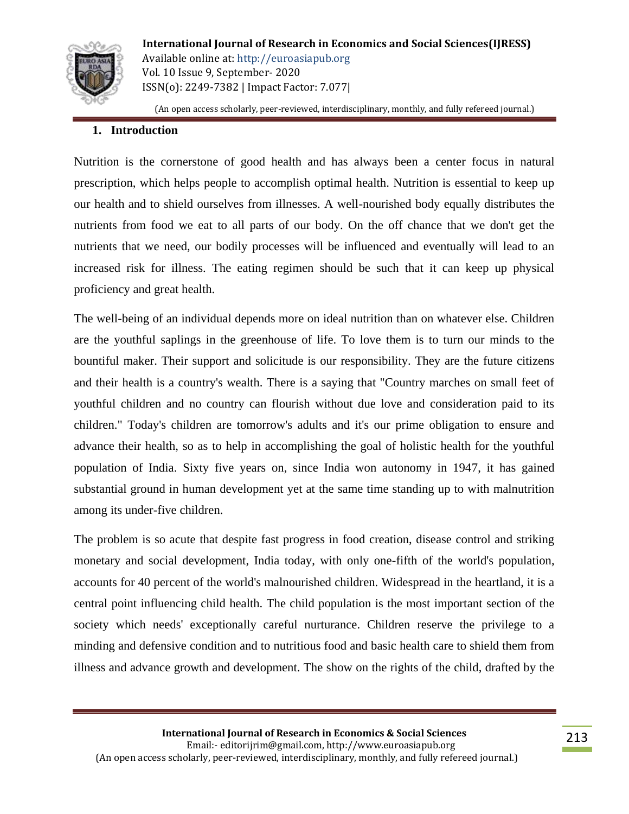

(An open access scholarly, peer-reviewed, interdisciplinary, monthly, and fully refereed journal.)

#### **1. Introduction**

Nutrition is the cornerstone of good health and has always been a center focus in natural prescription, which helps people to accomplish optimal health. Nutrition is essential to keep up our health and to shield ourselves from illnesses. A well-nourished body equally distributes the nutrients from food we eat to all parts of our body. On the off chance that we don't get the nutrients that we need, our bodily processes will be influenced and eventually will lead to an increased risk for illness. The eating regimen should be such that it can keep up physical proficiency and great health.

The well-being of an individual depends more on ideal nutrition than on whatever else. Children are the youthful saplings in the greenhouse of life. To love them is to turn our minds to the bountiful maker. Their support and solicitude is our responsibility. They are the future citizens and their health is a country's wealth. There is a saying that "Country marches on small feet of youthful children and no country can flourish without due love and consideration paid to its children." Today's children are tomorrow's adults and it's our prime obligation to ensure and advance their health, so as to help in accomplishing the goal of holistic health for the youthful population of India. Sixty five years on, since India won autonomy in 1947, it has gained substantial ground in human development yet at the same time standing up to with malnutrition among its under-five children.

The problem is so acute that despite fast progress in food creation, disease control and striking monetary and social development, India today, with only one-fifth of the world's population, accounts for 40 percent of the world's malnourished children. Widespread in the heartland, it is a central point influencing child health. The child population is the most important section of the society which needs' exceptionally careful nurturance. Children reserve the privilege to a minding and defensive condition and to nutritious food and basic health care to shield them from illness and advance growth and development. The show on the rights of the child, drafted by the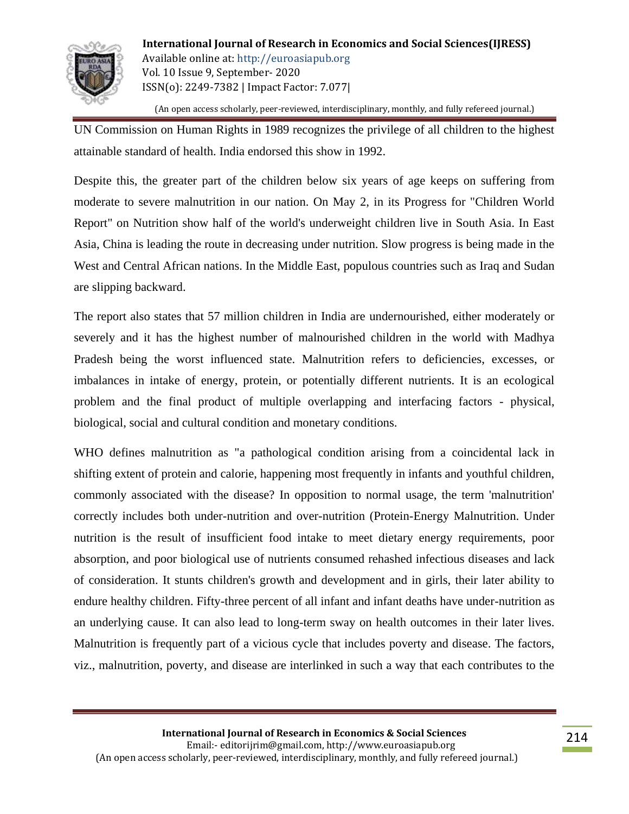

(An open access scholarly, peer-reviewed, interdisciplinary, monthly, and fully refereed journal.)

UN Commission on Human Rights in 1989 recognizes the privilege of all children to the highest attainable standard of health. India endorsed this show in 1992.

Despite this, the greater part of the children below six years of age keeps on suffering from moderate to severe malnutrition in our nation. On May 2, in its Progress for "Children World Report" on Nutrition show half of the world's underweight children live in South Asia. In East Asia, China is leading the route in decreasing under nutrition. Slow progress is being made in the West and Central African nations. In the Middle East, populous countries such as Iraq and Sudan are slipping backward.

The report also states that 57 million children in India are undernourished, either moderately or severely and it has the highest number of malnourished children in the world with Madhya Pradesh being the worst influenced state. Malnutrition refers to deficiencies, excesses, or imbalances in intake of energy, protein, or potentially different nutrients. It is an ecological problem and the final product of multiple overlapping and interfacing factors - physical, biological, social and cultural condition and monetary conditions.

WHO defines malnutrition as "a pathological condition arising from a coincidental lack in shifting extent of protein and calorie, happening most frequently in infants and youthful children, commonly associated with the disease? In opposition to normal usage, the term 'malnutrition' correctly includes both under-nutrition and over-nutrition (Protein-Energy Malnutrition. Under nutrition is the result of insufficient food intake to meet dietary energy requirements, poor absorption, and poor biological use of nutrients consumed rehashed infectious diseases and lack of consideration. It stunts children's growth and development and in girls, their later ability to endure healthy children. Fifty-three percent of all infant and infant deaths have under-nutrition as an underlying cause. It can also lead to long-term sway on health outcomes in their later lives. Malnutrition is frequently part of a vicious cycle that includes poverty and disease. The factors, viz., malnutrition, poverty, and disease are interlinked in such a way that each contributes to the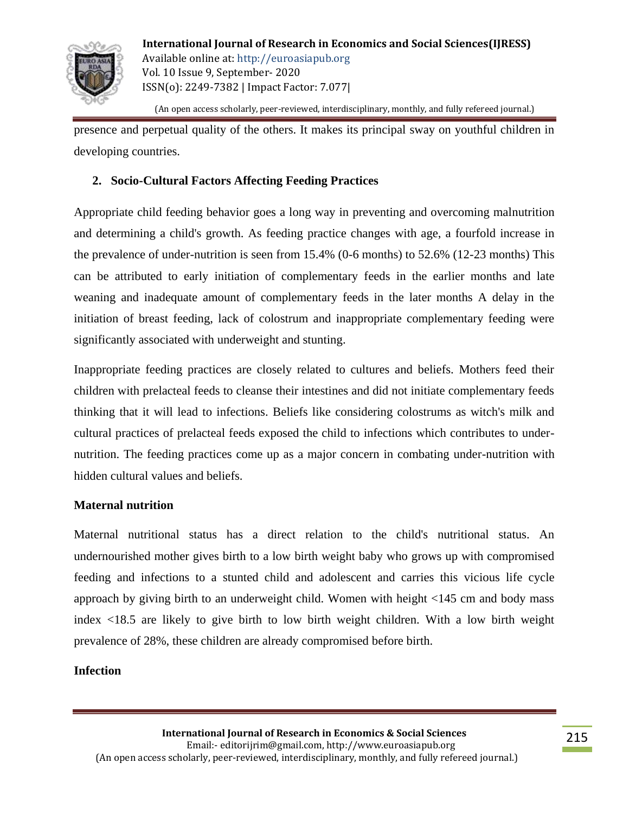

(An open access scholarly, peer-reviewed, interdisciplinary, monthly, and fully refereed journal.)

presence and perpetual quality of the others. It makes its principal sway on youthful children in developing countries.

#### **2. Socio-Cultural Factors Affecting Feeding Practices**

Appropriate child feeding behavior goes a long way in preventing and overcoming malnutrition and determining a child's growth. As feeding practice changes with age, a fourfold increase in the prevalence of under-nutrition is seen from 15.4% (0-6 months) to 52.6% (12-23 months) This can be attributed to early initiation of complementary feeds in the earlier months and late weaning and inadequate amount of complementary feeds in the later months A delay in the initiation of breast feeding, lack of colostrum and inappropriate complementary feeding were significantly associated with underweight and stunting.

Inappropriate feeding practices are closely related to cultures and beliefs. Mothers feed their children with prelacteal feeds to cleanse their intestines and did not initiate complementary feeds thinking that it will lead to infections. Beliefs like considering colostrums as witch's milk and cultural practices of prelacteal feeds exposed the child to infections which contributes to undernutrition. The feeding practices come up as a major concern in combating under-nutrition with hidden cultural values and beliefs.

#### **Maternal nutrition**

Maternal nutritional status has a direct relation to the child's nutritional status. An undernourished mother gives birth to a low birth weight baby who grows up with compromised feeding and infections to a stunted child and adolescent and carries this vicious life cycle approach by giving birth to an underweight child. Women with height <145 cm and body mass index <18.5 are likely to give birth to low birth weight children. With a low birth weight prevalence of 28%, these children are already compromised before birth.

#### **Infection**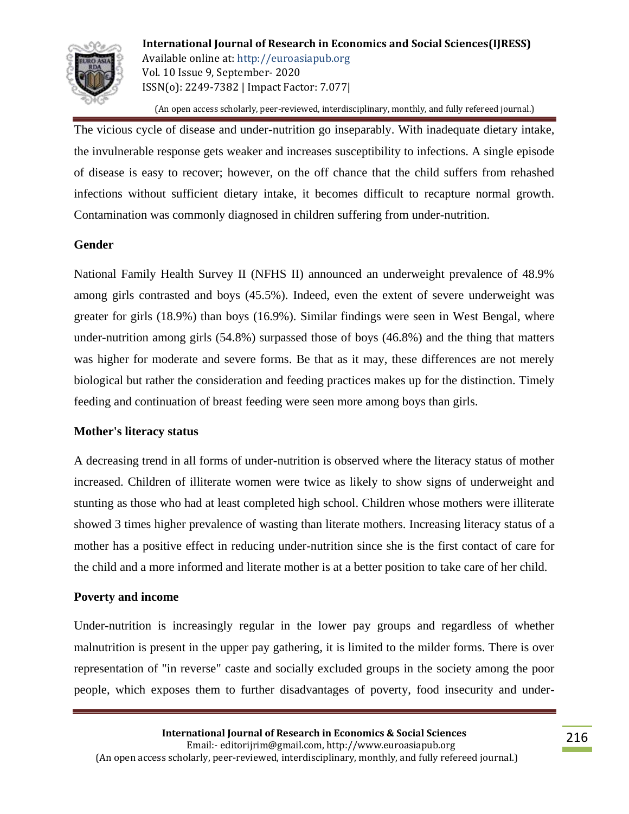

(An open access scholarly, peer-reviewed, interdisciplinary, monthly, and fully refereed journal.)

The vicious cycle of disease and under-nutrition go inseparably. With inadequate dietary intake, the invulnerable response gets weaker and increases susceptibility to infections. A single episode of disease is easy to recover; however, on the off chance that the child suffers from rehashed infections without sufficient dietary intake, it becomes difficult to recapture normal growth. Contamination was commonly diagnosed in children suffering from under-nutrition.

#### **Gender**

National Family Health Survey II (NFHS II) announced an underweight prevalence of 48.9% among girls contrasted and boys (45.5%). Indeed, even the extent of severe underweight was greater for girls (18.9%) than boys (16.9%). Similar findings were seen in West Bengal, where under-nutrition among girls (54.8%) surpassed those of boys (46.8%) and the thing that matters was higher for moderate and severe forms. Be that as it may, these differences are not merely biological but rather the consideration and feeding practices makes up for the distinction. Timely feeding and continuation of breast feeding were seen more among boys than girls.

#### **Mother's literacy status**

A decreasing trend in all forms of under-nutrition is observed where the literacy status of mother increased. Children of illiterate women were twice as likely to show signs of underweight and stunting as those who had at least completed high school. Children whose mothers were illiterate showed 3 times higher prevalence of wasting than literate mothers. Increasing literacy status of a mother has a positive effect in reducing under-nutrition since she is the first contact of care for the child and a more informed and literate mother is at a better position to take care of her child.

#### **Poverty and income**

Under-nutrition is increasingly regular in the lower pay groups and regardless of whether malnutrition is present in the upper pay gathering, it is limited to the milder forms. There is over representation of "in reverse" caste and socially excluded groups in the society among the poor people, which exposes them to further disadvantages of poverty, food insecurity and under-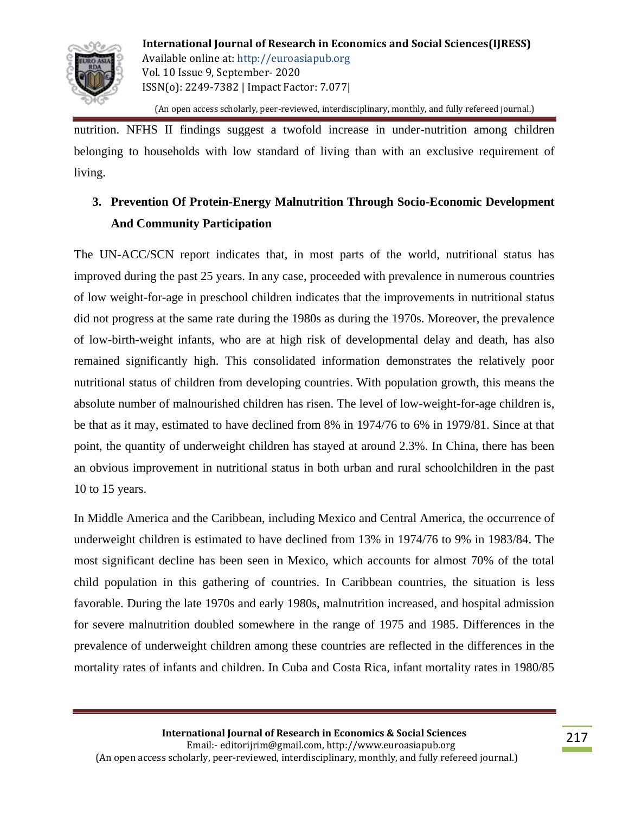

(An open access scholarly, peer-reviewed, interdisciplinary, monthly, and fully refereed journal.)

nutrition. NFHS II findings suggest a twofold increase in under-nutrition among children belonging to households with low standard of living than with an exclusive requirement of living.

### **3. Prevention Of Protein-Energy Malnutrition Through Socio-Economic Development And Community Participation**

The UN-ACC/SCN report indicates that, in most parts of the world, nutritional status has improved during the past 25 years. In any case, proceeded with prevalence in numerous countries of low weight-for-age in preschool children indicates that the improvements in nutritional status did not progress at the same rate during the 1980s as during the 1970s. Moreover, the prevalence of low-birth-weight infants, who are at high risk of developmental delay and death, has also remained significantly high. This consolidated information demonstrates the relatively poor nutritional status of children from developing countries. With population growth, this means the absolute number of malnourished children has risen. The level of low-weight-for-age children is, be that as it may, estimated to have declined from 8% in 1974/76 to 6% in 1979/81. Since at that point, the quantity of underweight children has stayed at around 2.3%. In China, there has been an obvious improvement in nutritional status in both urban and rural schoolchildren in the past 10 to 15 years.

In Middle America and the Caribbean, including Mexico and Central America, the occurrence of underweight children is estimated to have declined from 13% in 1974/76 to 9% in 1983/84. The most significant decline has been seen in Mexico, which accounts for almost 70% of the total child population in this gathering of countries. In Caribbean countries, the situation is less favorable. During the late 1970s and early 1980s, malnutrition increased, and hospital admission for severe malnutrition doubled somewhere in the range of 1975 and 1985. Differences in the prevalence of underweight children among these countries are reflected in the differences in the mortality rates of infants and children. In Cuba and Costa Rica, infant mortality rates in 1980/85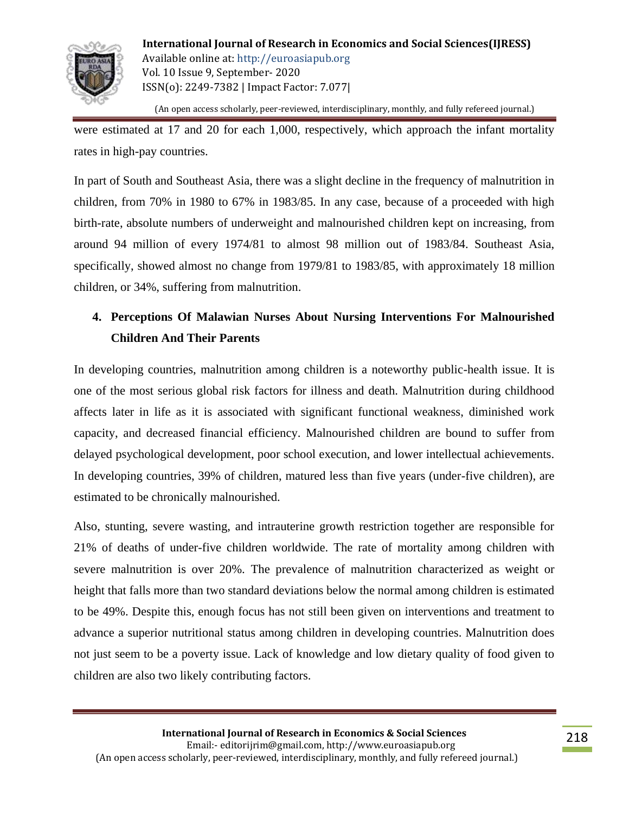

(An open access scholarly, peer-reviewed, interdisciplinary, monthly, and fully refereed journal.)

were estimated at 17 and 20 for each 1,000, respectively, which approach the infant mortality rates in high-pay countries.

In part of South and Southeast Asia, there was a slight decline in the frequency of malnutrition in children, from 70% in 1980 to 67% in 1983/85. In any case, because of a proceeded with high birth-rate, absolute numbers of underweight and malnourished children kept on increasing, from around 94 million of every 1974/81 to almost 98 million out of 1983/84. Southeast Asia, specifically, showed almost no change from 1979/81 to 1983/85, with approximately 18 million children, or 34%, suffering from malnutrition.

## **4. Perceptions Of Malawian Nurses About Nursing Interventions For Malnourished Children And Their Parents**

In developing countries, malnutrition among children is a noteworthy public-health issue. It is one of the most serious global risk factors for illness and death. Malnutrition during childhood affects later in life as it is associated with significant functional weakness, diminished work capacity, and decreased financial efficiency. Malnourished children are bound to suffer from delayed psychological development, poor school execution, and lower intellectual achievements. In developing countries, 39% of children, matured less than five years (under-five children), are estimated to be chronically malnourished.

Also, stunting, severe wasting, and intrauterine growth restriction together are responsible for 21% of deaths of under-five children worldwide. The rate of mortality among children with severe malnutrition is over 20%. The prevalence of malnutrition characterized as weight or height that falls more than two standard deviations below the normal among children is estimated to be 49%. Despite this, enough focus has not still been given on interventions and treatment to advance a superior nutritional status among children in developing countries. Malnutrition does not just seem to be a poverty issue. Lack of knowledge and low dietary quality of food given to children are also two likely contributing factors.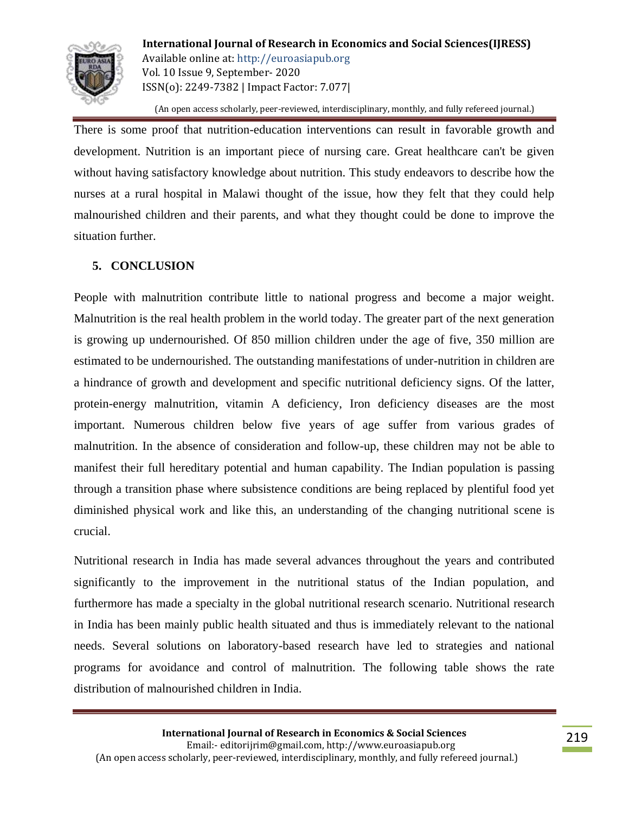

(An open access scholarly, peer-reviewed, interdisciplinary, monthly, and fully refereed journal.)

There is some proof that nutrition-education interventions can result in favorable growth and development. Nutrition is an important piece of nursing care. Great healthcare can't be given without having satisfactory knowledge about nutrition. This study endeavors to describe how the nurses at a rural hospital in Malawi thought of the issue, how they felt that they could help malnourished children and their parents, and what they thought could be done to improve the situation further.

#### **5. CONCLUSION**

People with malnutrition contribute little to national progress and become a major weight. Malnutrition is the real health problem in the world today. The greater part of the next generation is growing up undernourished. Of 850 million children under the age of five, 350 million are estimated to be undernourished. The outstanding manifestations of under-nutrition in children are a hindrance of growth and development and specific nutritional deficiency signs. Of the latter, protein-energy malnutrition, vitamin A deficiency, Iron deficiency diseases are the most important. Numerous children below five years of age suffer from various grades of malnutrition. In the absence of consideration and follow-up, these children may not be able to manifest their full hereditary potential and human capability. The Indian population is passing through a transition phase where subsistence conditions are being replaced by plentiful food yet diminished physical work and like this, an understanding of the changing nutritional scene is crucial.

Nutritional research in India has made several advances throughout the years and contributed significantly to the improvement in the nutritional status of the Indian population, and furthermore has made a specialty in the global nutritional research scenario. Nutritional research in India has been mainly public health situated and thus is immediately relevant to the national needs. Several solutions on laboratory-based research have led to strategies and national programs for avoidance and control of malnutrition. The following table shows the rate distribution of malnourished children in India.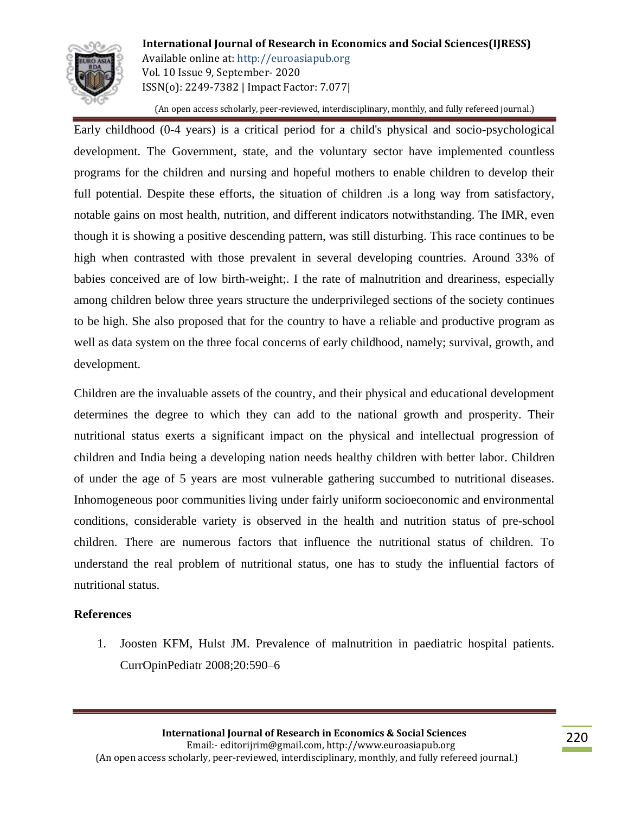

(An open access scholarly, peer-reviewed, interdisciplinary, monthly, and fully refereed journal.)

Early childhood (0-4 years) is a critical period for a child's physical and socio-psychological development. The Government, state, and the voluntary sector have implemented countless programs for the children and nursing and hopeful mothers to enable children to develop their full potential. Despite these efforts, the situation of children .is a long way from satisfactory, notable gains on most health, nutrition, and different indicators notwithstanding. The IMR, even though it is showing a positive descending pattern, was still disturbing. This race continues to be high when contrasted with those prevalent in several developing countries. Around 33% of babies conceived are of low birth-weight;. I the rate of malnutrition and dreariness, especially among children below three years structure the underprivileged sections of the society continues to be high. She also proposed that for the country to have a reliable and productive program as well as data system on the three focal concerns of early childhood, namely; survival, growth, and development.

Children are the invaluable assets of the country, and their physical and educational development determines the degree to which they can add to the national growth and prosperity. Their nutritional status exerts a significant impact on the physical and intellectual progression of children and India being a developing nation needs healthy children with better labor. Children of under the age of 5 years are most vulnerable gathering succumbed to nutritional diseases. Inhomogeneous poor communities living under fairly uniform socioeconomic and environmental conditions, considerable variety is observed in the health and nutrition status of pre-school children. There are numerous factors that influence the nutritional status of children. To understand the real problem of nutritional status, one has to study the influential factors of nutritional status.

#### **References**

1. Joosten KFM, Hulst JM. Prevalence of malnutrition in paediatric hospital patients. CurrOpinPediatr 2008;20:590–6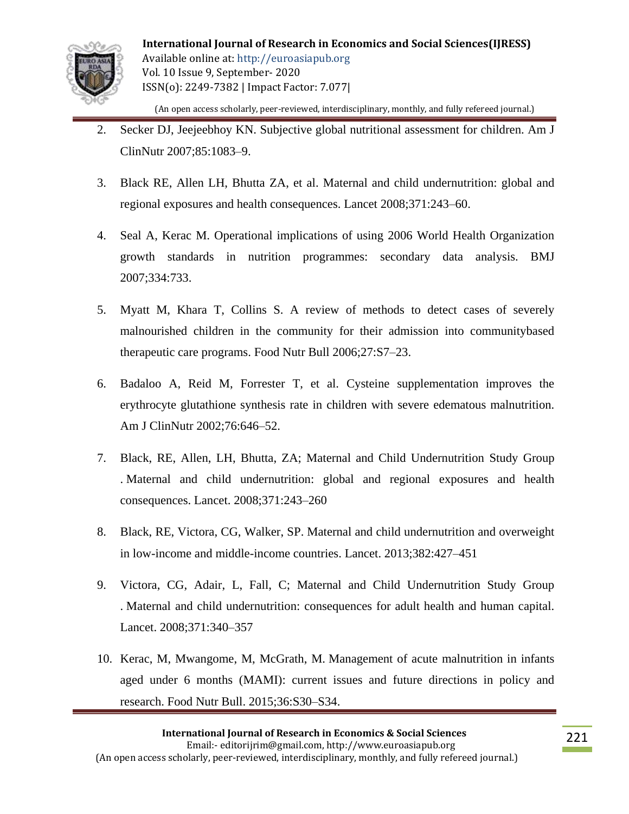

(An open access scholarly, peer-reviewed, interdisciplinary, monthly, and fully refereed journal.)

- 2. Secker DJ, Jeejeebhoy KN. Subjective global nutritional assessment for children. Am J ClinNutr 2007;85:1083–9.
- 3. Black RE, Allen LH, Bhutta ZA, et al. Maternal and child undernutrition: global and regional exposures and health consequences. Lancet 2008;371:243–60.
- 4. Seal A, Kerac M. Operational implications of using 2006 World Health Organization growth standards in nutrition programmes: secondary data analysis. BMJ 2007;334:733.
- 5. Myatt M, Khara T, Collins S. A review of methods to detect cases of severely malnourished children in the community for their admission into communitybased therapeutic care programs. Food Nutr Bull 2006;27:S7–23.
- 6. Badaloo A, Reid M, Forrester T, et al. Cysteine supplementation improves the erythrocyte glutathione synthesis rate in children with severe edematous malnutrition. Am J ClinNutr 2002;76:646–52.
- 7. Black, RE, Allen, LH, Bhutta, ZA; Maternal and Child Undernutrition Study Group . Maternal and child undernutrition: global and regional exposures and health consequences. Lancet. 2008;371:243–260
- 8. Black, RE, Victora, CG, Walker, SP. Maternal and child undernutrition and overweight in low-income and middle-income countries. Lancet. 2013;382:427–451
- 9. Victora, CG, Adair, L, Fall, C; Maternal and Child Undernutrition Study Group . Maternal and child undernutrition: consequences for adult health and human capital. Lancet. 2008;371:340–357
- 10. Kerac, M, Mwangome, M, McGrath, M. Management of acute malnutrition in infants aged under 6 months (MAMI): current issues and future directions in policy and research. Food Nutr Bull. 2015;36:S30–S34.